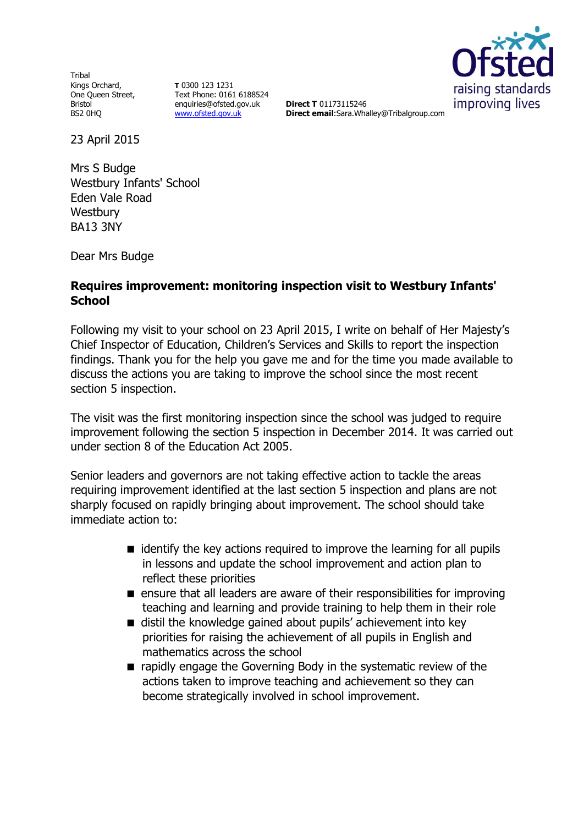Tribal Kings Orchard, One Queen Street, Bristol BS2 0HQ

**T** 0300 123 1231 Text Phone: 0161 6188524 enquiries@ofsted.gov.uk [www.ofsted.gov.uk](http://www.ofsted.gov.uk/)

raising standards improving lives

**Direct T** 01173115246 **Direct email**:Sara.Whalley@Tribalgroup.com

23 April 2015

Mrs S Budge Westbury Infants' School Eden Vale Road **Westbury** BA13 3NY

Dear Mrs Budge

## **Requires improvement: monitoring inspection visit to Westbury Infants' School**

Following my visit to your school on 23 April 2015, I write on behalf of Her Majesty's Chief Inspector of Education, Children's Services and Skills to report the inspection findings. Thank you for the help you gave me and for the time you made available to discuss the actions you are taking to improve the school since the most recent section 5 inspection.

The visit was the first monitoring inspection since the school was judged to require improvement following the section 5 inspection in December 2014. It was carried out under section 8 of the Education Act 2005.

Senior leaders and governors are not taking effective action to tackle the areas requiring improvement identified at the last section 5 inspection and plans are not sharply focused on rapidly bringing about improvement. The school should take immediate action to:

- $\blacksquare$  identify the key actions required to improve the learning for all pupils in lessons and update the school improvement and action plan to reflect these priorities
- **E** ensure that all leaders are aware of their responsibilities for improving teaching and learning and provide training to help them in their role
- distil the knowledge gained about pupils' achievement into key priorities for raising the achievement of all pupils in English and mathematics across the school
- $\blacksquare$  rapidly engage the Governing Body in the systematic review of the actions taken to improve teaching and achievement so they can become strategically involved in school improvement.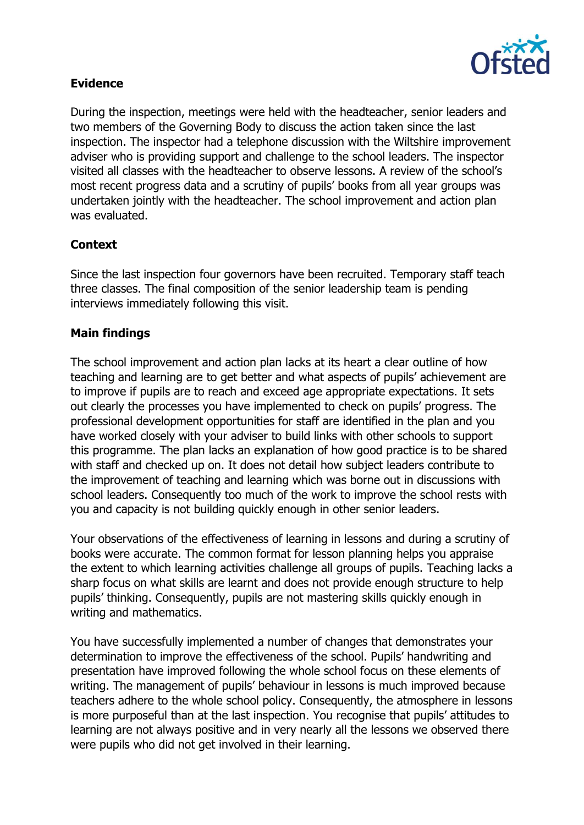

# **Evidence**

During the inspection, meetings were held with the headteacher, senior leaders and two members of the Governing Body to discuss the action taken since the last inspection. The inspector had a telephone discussion with the Wiltshire improvement adviser who is providing support and challenge to the school leaders. The inspector visited all classes with the headteacher to observe lessons. A review of the school's most recent progress data and a scrutiny of pupils' books from all year groups was undertaken jointly with the headteacher. The school improvement and action plan was evaluated.

# **Context**

Since the last inspection four governors have been recruited. Temporary staff teach three classes. The final composition of the senior leadership team is pending interviews immediately following this visit.

# **Main findings**

The school improvement and action plan lacks at its heart a clear outline of how teaching and learning are to get better and what aspects of pupils' achievement are to improve if pupils are to reach and exceed age appropriate expectations. It sets out clearly the processes you have implemented to check on pupils' progress. The professional development opportunities for staff are identified in the plan and you have worked closely with your adviser to build links with other schools to support this programme. The plan lacks an explanation of how good practice is to be shared with staff and checked up on. It does not detail how subject leaders contribute to the improvement of teaching and learning which was borne out in discussions with school leaders. Consequently too much of the work to improve the school rests with you and capacity is not building quickly enough in other senior leaders.

Your observations of the effectiveness of learning in lessons and during a scrutiny of books were accurate. The common format for lesson planning helps you appraise the extent to which learning activities challenge all groups of pupils. Teaching lacks a sharp focus on what skills are learnt and does not provide enough structure to help pupils' thinking. Consequently, pupils are not mastering skills quickly enough in writing and mathematics.

You have successfully implemented a number of changes that demonstrates your determination to improve the effectiveness of the school. Pupils' handwriting and presentation have improved following the whole school focus on these elements of writing. The management of pupils' behaviour in lessons is much improved because teachers adhere to the whole school policy. Consequently, the atmosphere in lessons is more purposeful than at the last inspection. You recognise that pupils' attitudes to learning are not always positive and in very nearly all the lessons we observed there were pupils who did not get involved in their learning.